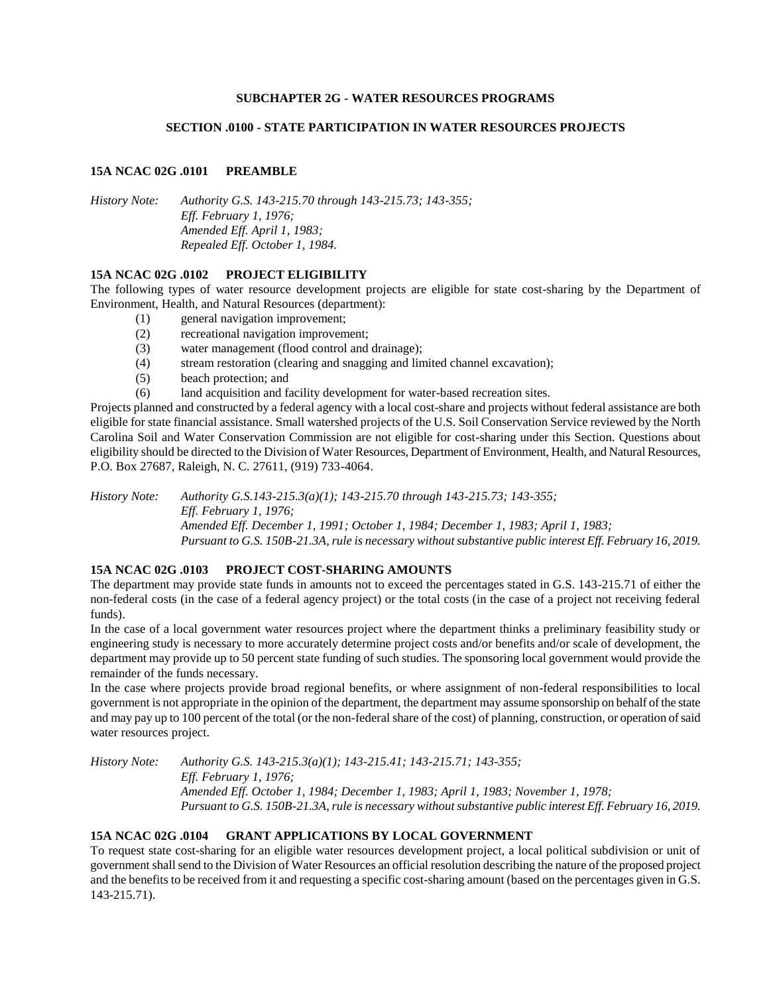### **SUBCHAPTER 2G - WATER RESOURCES PROGRAMS**

### **SECTION .0100 - STATE PARTICIPATION IN WATER RESOURCES PROJECTS**

### **15A NCAC 02G .0101 PREAMBLE**

*History Note: Authority G.S. 143-215.70 through 143-215.73; 143-355; Eff. February 1, 1976; Amended Eff. April 1, 1983; Repealed Eff. October 1, 1984.*

#### **15A NCAC 02G .0102 PROJECT ELIGIBILITY**

The following types of water resource development projects are eligible for state cost-sharing by the Department of Environment, Health, and Natural Resources (department):

- (1) general navigation improvement;
- (2) recreational navigation improvement;
- (3) water management (flood control and drainage);
- (4) stream restoration (clearing and snagging and limited channel excavation);
- (5) beach protection; and
- (6) land acquisition and facility development for water-based recreation sites.

Projects planned and constructed by a federal agency with a local cost-share and projects without federal assistance are both eligible for state financial assistance. Small watershed projects of the U.S. Soil Conservation Service reviewed by the North Carolina Soil and Water Conservation Commission are not eligible for cost-sharing under this Section. Questions about eligibility should be directed to the Division of Water Resources, Department of Environment, Health, and Natural Resources, P.O. Box 27687, Raleigh, N. C. 27611, (919) 733-4064.

*History Note: Authority G.S.143-215.3(a)(1); 143-215.70 through 143-215.73; 143-355; Eff. February 1, 1976; Amended Eff. December 1, 1991; October 1, 1984; December 1, 1983; April 1, 1983; Pursuant to G.S. 150B-21.3A, rule is necessary without substantive public interest Eff. February 16, 2019.*

## **15A NCAC 02G .0103 PROJECT COST-SHARING AMOUNTS**

The department may provide state funds in amounts not to exceed the percentages stated in G.S. 143-215.71 of either the non-federal costs (in the case of a federal agency project) or the total costs (in the case of a project not receiving federal funds).

In the case of a local government water resources project where the department thinks a preliminary feasibility study or engineering study is necessary to more accurately determine project costs and/or benefits and/or scale of development, the department may provide up to 50 percent state funding of such studies. The sponsoring local government would provide the remainder of the funds necessary.

In the case where projects provide broad regional benefits, or where assignment of non-federal responsibilities to local government is not appropriate in the opinion of the department, the department may assume sponsorship on behalf of the state and may pay up to 100 percent of the total (or the non-federal share of the cost) of planning, construction, or operation of said water resources project.

*History Note: Authority G.S. 143-215.3(a)(1); 143-215.41; 143-215.71; 143-355; Eff. February 1, 1976; Amended Eff. October 1, 1984; December 1, 1983; April 1, 1983; November 1, 1978; Pursuant to G.S. 150B-21.3A, rule is necessary without substantive public interest Eff. February 16, 2019.*

## **15A NCAC 02G .0104 GRANT APPLICATIONS BY LOCAL GOVERNMENT**

To request state cost-sharing for an eligible water resources development project, a local political subdivision or unit of government shall send to the Division of Water Resources an official resolution describing the nature of the proposed project and the benefits to be received from it and requesting a specific cost-sharing amount (based on the percentages given in G.S. 143-215.71).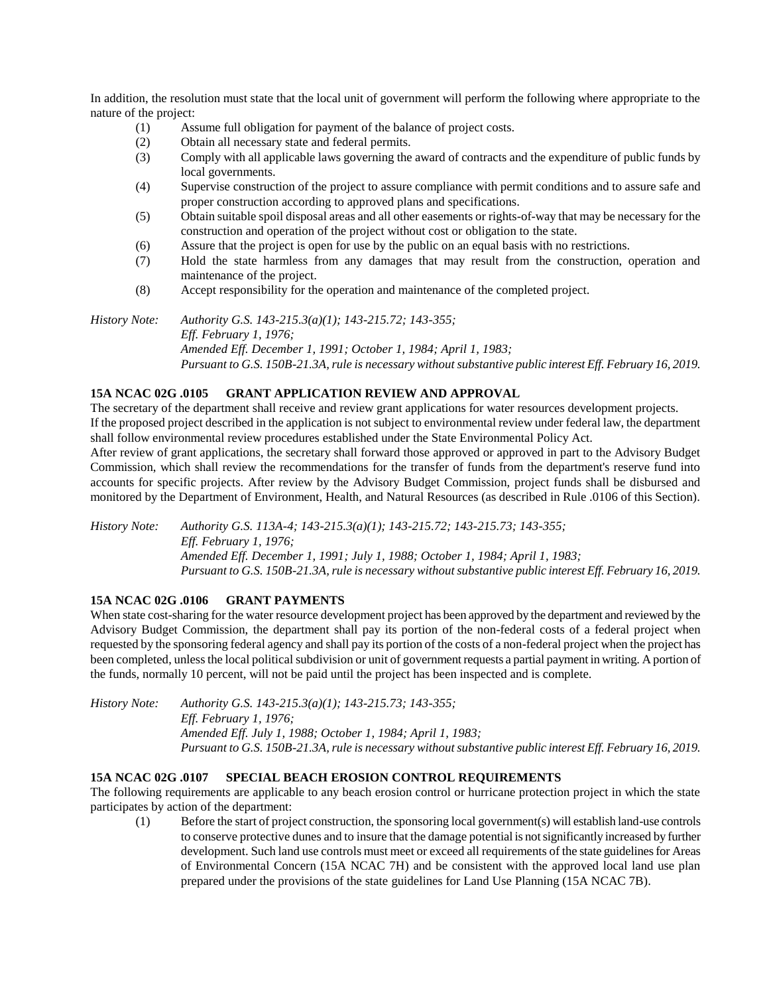In addition, the resolution must state that the local unit of government will perform the following where appropriate to the nature of the project:

- (1) Assume full obligation for payment of the balance of project costs.
- (2) Obtain all necessary state and federal permits.
- (3) Comply with all applicable laws governing the award of contracts and the expenditure of public funds by local governments.
- (4) Supervise construction of the project to assure compliance with permit conditions and to assure safe and proper construction according to approved plans and specifications.
- (5) Obtain suitable spoil disposal areas and all other easements or rights-of-way that may be necessary for the construction and operation of the project without cost or obligation to the state.
- (6) Assure that the project is open for use by the public on an equal basis with no restrictions.
- (7) Hold the state harmless from any damages that may result from the construction, operation and maintenance of the project.
- (8) Accept responsibility for the operation and maintenance of the completed project.

*History Note: Authority G.S. 143-215.3(a)(1); 143-215.72; 143-355; Eff. February 1, 1976; Amended Eff. December 1, 1991; October 1, 1984; April 1, 1983; Pursuant to G.S. 150B-21.3A, rule is necessary without substantive public interest Eff. February 16, 2019.*

# **15A NCAC 02G .0105 GRANT APPLICATION REVIEW AND APPROVAL**

The secretary of the department shall receive and review grant applications for water resources development projects. If the proposed project described in the application is not subject to environmental review under federal law, the department shall follow environmental review procedures established under the State Environmental Policy Act.

After review of grant applications, the secretary shall forward those approved or approved in part to the Advisory Budget Commission, which shall review the recommendations for the transfer of funds from the department's reserve fund into accounts for specific projects. After review by the Advisory Budget Commission, project funds shall be disbursed and monitored by the Department of Environment, Health, and Natural Resources (as described in Rule .0106 of this Section).

*History Note: Authority G.S. 113A-4; 143-215.3(a)(1); 143-215.72; 143-215.73; 143-355; Eff. February 1, 1976; Amended Eff. December 1, 1991; July 1, 1988; October 1, 1984; April 1, 1983; Pursuant to G.S. 150B-21.3A, rule is necessary without substantive public interest Eff. February 16, 2019.*

## **15A NCAC 02G .0106 GRANT PAYMENTS**

When state cost-sharing for the water resource development project has been approved by the department and reviewed by the Advisory Budget Commission, the department shall pay its portion of the non-federal costs of a federal project when requested by the sponsoring federal agency and shall pay its portion of the costs of a non-federal project when the project has been completed, unless the local political subdivision or unit of government requests a partial payment in writing. A portion of the funds, normally 10 percent, will not be paid until the project has been inspected and is complete.

*History Note: Authority G.S. 143-215.3(a)(1); 143-215.73; 143-355; Eff. February 1, 1976; Amended Eff. July 1, 1988; October 1, 1984; April 1, 1983; Pursuant to G.S. 150B-21.3A, rule is necessary without substantive public interest Eff. February 16, 2019.*

## **15A NCAC 02G .0107 SPECIAL BEACH EROSION CONTROL REQUIREMENTS**

The following requirements are applicable to any beach erosion control or hurricane protection project in which the state participates by action of the department:

(1) Before the start of project construction, the sponsoring local government(s) will establish land-use controls to conserve protective dunes and to insure that the damage potential is not significantly increased by further development. Such land use controls must meet or exceed all requirements of the state guidelines for Areas of Environmental Concern (15A NCAC 7H) and be consistent with the approved local land use plan prepared under the provisions of the state guidelines for Land Use Planning (15A NCAC 7B).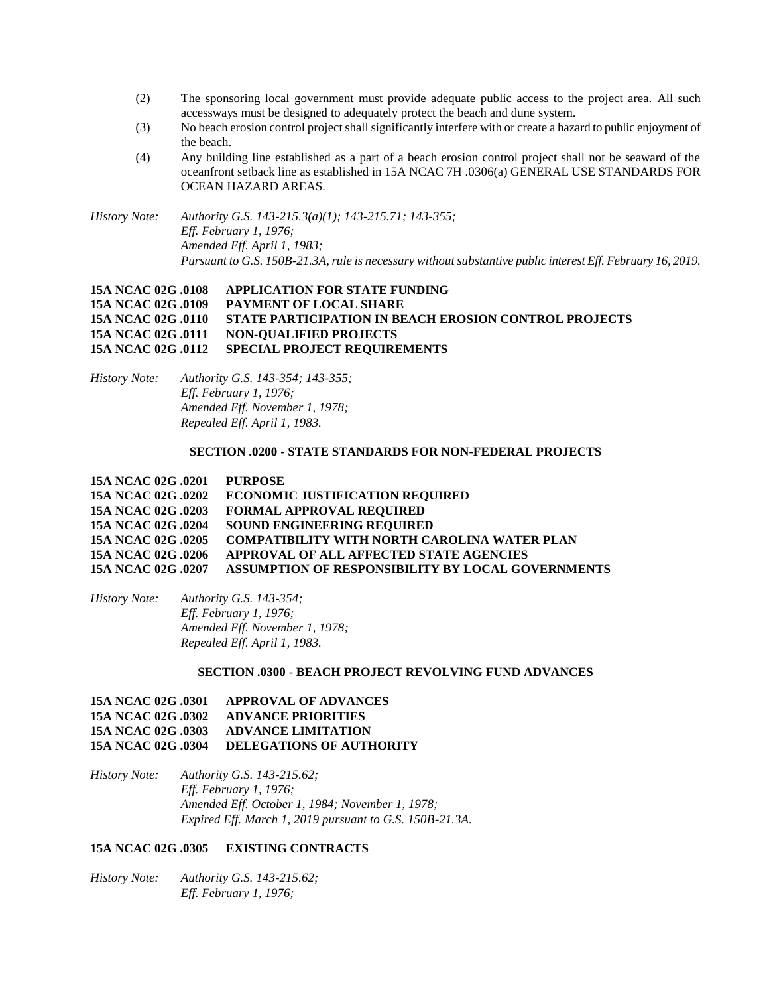- (2) The sponsoring local government must provide adequate public access to the project area. All such accessways must be designed to adequately protect the beach and dune system.
- (3) No beach erosion control project shall significantly interfere with or create a hazard to public enjoyment of the beach.
- (4) Any building line established as a part of a beach erosion control project shall not be seaward of the oceanfront setback line as established in 15A NCAC 7H .0306(a) GENERAL USE STANDARDS FOR OCEAN HAZARD AREAS.

*History Note: Authority G.S. 143-215.3(a)(1); 143-215.71; 143-355; Eff. February 1, 1976; Amended Eff. April 1, 1983; Pursuant to G.S. 150B-21.3A, rule is necessary without substantive public interest Eff. February 16, 2019.*

## **15A NCAC 02G .0108 APPLICATION FOR STATE FUNDING 15A NCAC 02G .0109 PAYMENT OF LOCAL SHARE 15A NCAC 02G .0110 STATE PARTICIPATION IN BEACH EROSION CONTROL PROJECTS 15A NCAC 02G .0111 NON-QUALIFIED PROJECTS 15A NCAC 02G .0112 SPECIAL PROJECT REQUIREMENTS**

*History Note: Authority G.S. 143-354; 143-355; Eff. February 1, 1976; Amended Eff. November 1, 1978; Repealed Eff. April 1, 1983.*

### **SECTION .0200 - STATE STANDARDS FOR NON-FEDERAL PROJECTS**

| 15A NCAC 02G .0201 | PURPOSE                                                  |
|--------------------|----------------------------------------------------------|
| 15A NCAC 02G .0202 | <b>ECONOMIC JUSTIFICATION REQUIRED</b>                   |
| 15A NCAC 02G .0203 | <b>FORMAL APPROVAL REQUIRED</b>                          |
| 15A NCAC 02G .0204 | <b>SOUND ENGINEERING REQUIRED</b>                        |
| 15A NCAC 02G .0205 | <b>COMPATIBILITY WITH NORTH CAROLINA WATER PLAN</b>      |
| 15A NCAC 02G .0206 | APPROVAL OF ALL AFFECTED STATE AGENCIES                  |
| 15A NCAC 02G .0207 | <b>ASSUMPTION OF RESPONSIBILITY BY LOCAL GOVERNMENTS</b> |
|                    |                                                          |

| History Note: | Authority G.S. 143-354;        |
|---------------|--------------------------------|
|               | <i>Eff. February 1, 1976;</i>  |
|               | Amended Eff. November 1, 1978; |
|               | Repealed Eff. April 1, 1983.   |

#### **SECTION .0300 - BEACH PROJECT REVOLVING FUND ADVANCES**

## **15A NCAC 02G .0301 APPROVAL OF ADVANCES 15A NCAC 02G .0302 ADVANCE PRIORITIES 15A NCAC 02G .0303 ADVANCE LIMITATION 15A NCAC 02G .0304 DELEGATIONS OF AUTHORITY**

*History Note: Authority G.S. 143-215.62; Eff. February 1, 1976; Amended Eff. October 1, 1984; November 1, 1978; Expired Eff. March 1, 2019 pursuant to G.S. 150B-21.3A.*

### **15A NCAC 02G .0305 EXISTING CONTRACTS**

*History Note: Authority G.S. 143-215.62; Eff. February 1, 1976;*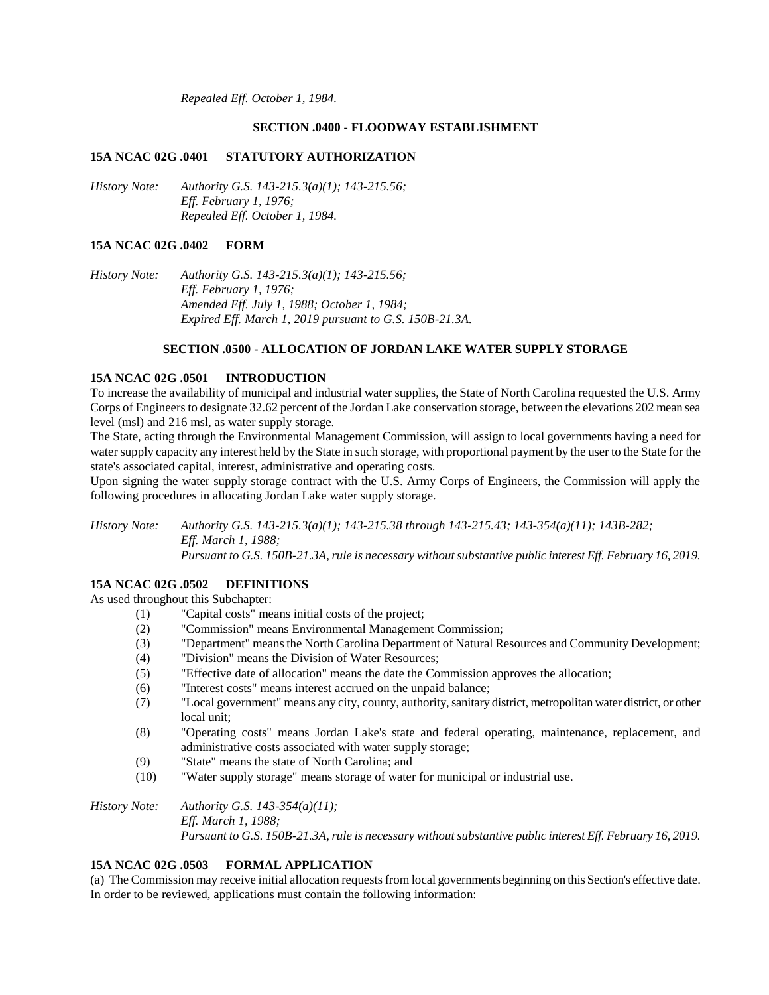*Repealed Eff. October 1, 1984.*

#### **SECTION .0400 - FLOODWAY ESTABLISHMENT**

#### **15A NCAC 02G .0401 STATUTORY AUTHORIZATION**

*History Note: Authority G.S. 143-215.3(a)(1); 143-215.56; Eff. February 1, 1976; Repealed Eff. October 1, 1984.*

### **15A NCAC 02G .0402 FORM**

*History Note: Authority G.S. 143-215.3(a)(1); 143-215.56; Eff. February 1, 1976; Amended Eff. July 1, 1988; October 1, 1984; Expired Eff. March 1, 2019 pursuant to G.S. 150B-21.3A.*

### **SECTION .0500 - ALLOCATION OF JORDAN LAKE WATER SUPPLY STORAGE**

#### **15A NCAC 02G .0501 INTRODUCTION**

To increase the availability of municipal and industrial water supplies, the State of North Carolina requested the U.S. Army Corps of Engineers to designate 32.62 percent of the Jordan Lake conservation storage, between the elevations 202 mean sea level (msl) and 216 msl, as water supply storage.

The State, acting through the Environmental Management Commission, will assign to local governments having a need for water supply capacity any interest held by the State in such storage, with proportional payment by the user to the State for the state's associated capital, interest, administrative and operating costs.

Upon signing the water supply storage contract with the U.S. Army Corps of Engineers, the Commission will apply the following procedures in allocating Jordan Lake water supply storage.

*History Note: Authority G.S. 143-215.3(a)(1); 143-215.38 through 143-215.43; 143-354(a)(11); 143B-282; Eff. March 1, 1988; Pursuant to G.S. 150B-21.3A, rule is necessary without substantive public interest Eff. February 16, 2019.*

#### **15A NCAC 02G .0502 DEFINITIONS**

As used throughout this Subchapter:

- (1) "Capital costs" means initial costs of the project;
- (2) "Commission" means Environmental Management Commission;
- (3) "Department" means the North Carolina Department of Natural Resources and Community Development;
- (4) "Division" means the Division of Water Resources;
- (5) "Effective date of allocation" means the date the Commission approves the allocation;
- (6) "Interest costs" means interest accrued on the unpaid balance;
- (7) "Local government" means any city, county, authority, sanitary district, metropolitan water district, or other local unit;
- (8) "Operating costs" means Jordan Lake's state and federal operating, maintenance, replacement, and administrative costs associated with water supply storage;
- (9) "State" means the state of North Carolina; and
- (10) "Water supply storage" means storage of water for municipal or industrial use.

*History Note: Authority G.S. 143-354(a)(11); Eff. March 1, 1988; Pursuant to G.S. 150B-21.3A, rule is necessary without substantive public interest Eff. February 16, 2019.*

#### **15A NCAC 02G .0503 FORMAL APPLICATION**

(a) The Commission may receive initial allocation requests from local governments beginning on this Section's effective date. In order to be reviewed, applications must contain the following information: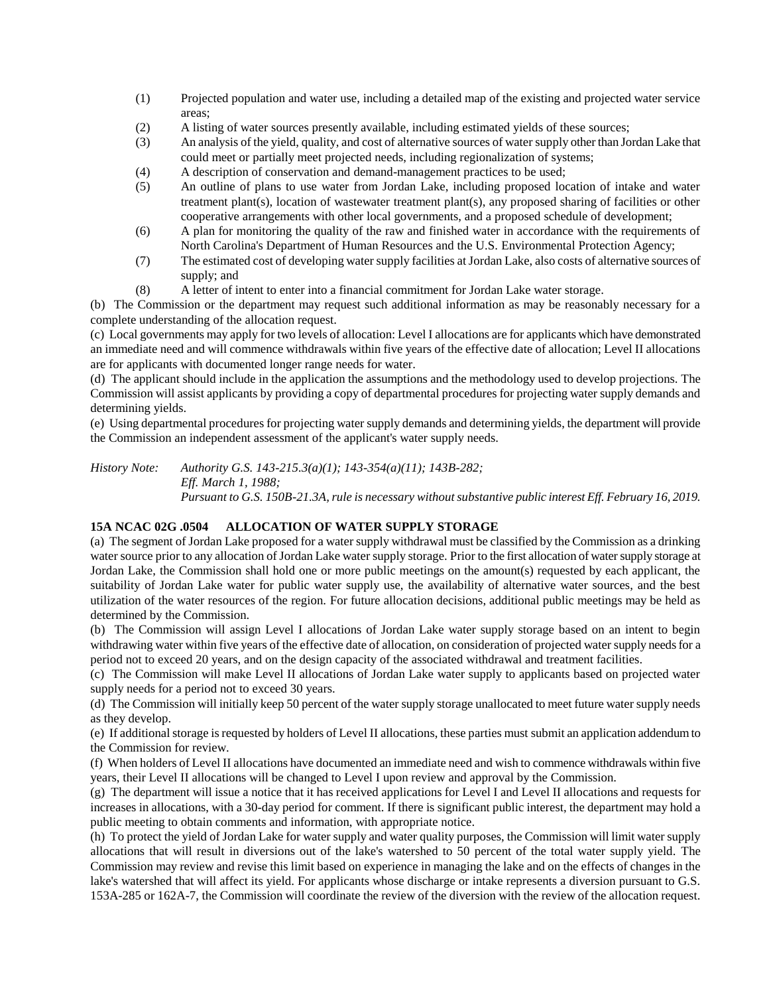- (1) Projected population and water use, including a detailed map of the existing and projected water service areas;
- (2) A listing of water sources presently available, including estimated yields of these sources;
- (3) An analysis of the yield, quality, and cost of alternative sources of water supply other than Jordan Lake that could meet or partially meet projected needs, including regionalization of systems;
- (4) A description of conservation and demand-management practices to be used;
- (5) An outline of plans to use water from Jordan Lake, including proposed location of intake and water treatment plant(s), location of wastewater treatment plant(s), any proposed sharing of facilities or other cooperative arrangements with other local governments, and a proposed schedule of development;
- (6) A plan for monitoring the quality of the raw and finished water in accordance with the requirements of North Carolina's Department of Human Resources and the U.S. Environmental Protection Agency;
- (7) The estimated cost of developing water supply facilities at Jordan Lake, also costs of alternative sources of supply; and
- (8) A letter of intent to enter into a financial commitment for Jordan Lake water storage.

(b) The Commission or the department may request such additional information as may be reasonably necessary for a complete understanding of the allocation request.

(c) Local governments may apply for two levels of allocation: Level I allocations are for applicants which have demonstrated an immediate need and will commence withdrawals within five years of the effective date of allocation; Level II allocations are for applicants with documented longer range needs for water.

(d) The applicant should include in the application the assumptions and the methodology used to develop projections. The Commission will assist applicants by providing a copy of departmental procedures for projecting water supply demands and determining yields.

(e) Using departmental procedures for projecting water supply demands and determining yields, the department will provide the Commission an independent assessment of the applicant's water supply needs.

*History Note: Authority G.S. 143-215.3(a)(1); 143-354(a)(11); 143B-282; Eff. March 1, 1988; Pursuant to G.S. 150B-21.3A, rule is necessary without substantive public interest Eff. February 16, 2019.*

## **15A NCAC 02G .0504 ALLOCATION OF WATER SUPPLY STORAGE**

(a) The segment of Jordan Lake proposed for a water supply withdrawal must be classified by the Commission as a drinking water source prior to any allocation of Jordan Lake water supply storage. Prior to the first allocation of water supply storage at Jordan Lake, the Commission shall hold one or more public meetings on the amount(s) requested by each applicant, the suitability of Jordan Lake water for public water supply use, the availability of alternative water sources, and the best utilization of the water resources of the region. For future allocation decisions, additional public meetings may be held as determined by the Commission.

(b) The Commission will assign Level I allocations of Jordan Lake water supply storage based on an intent to begin withdrawing water within five years of the effective date of allocation, on consideration of projected water supply needs for a period not to exceed 20 years, and on the design capacity of the associated withdrawal and treatment facilities.

(c) The Commission will make Level II allocations of Jordan Lake water supply to applicants based on projected water supply needs for a period not to exceed 30 years.

(d) The Commission will initially keep 50 percent of the water supply storage unallocated to meet future water supply needs as they develop.

(e) If additional storage is requested by holders of Level II allocations, these parties must submit an application addendum to the Commission for review.

(f) When holders of Level II allocations have documented an immediate need and wish to commence withdrawals within five years, their Level II allocations will be changed to Level I upon review and approval by the Commission.

(g) The department will issue a notice that it has received applications for Level I and Level II allocations and requests for increases in allocations, with a 30-day period for comment. If there is significant public interest, the department may hold a public meeting to obtain comments and information, with appropriate notice.

(h) To protect the yield of Jordan Lake for water supply and water quality purposes, the Commission will limit water supply allocations that will result in diversions out of the lake's watershed to 50 percent of the total water supply yield. The Commission may review and revise this limit based on experience in managing the lake and on the effects of changes in the lake's watershed that will affect its yield. For applicants whose discharge or intake represents a diversion pursuant to G.S. 153A-285 or 162A-7, the Commission will coordinate the review of the diversion with the review of the allocation request.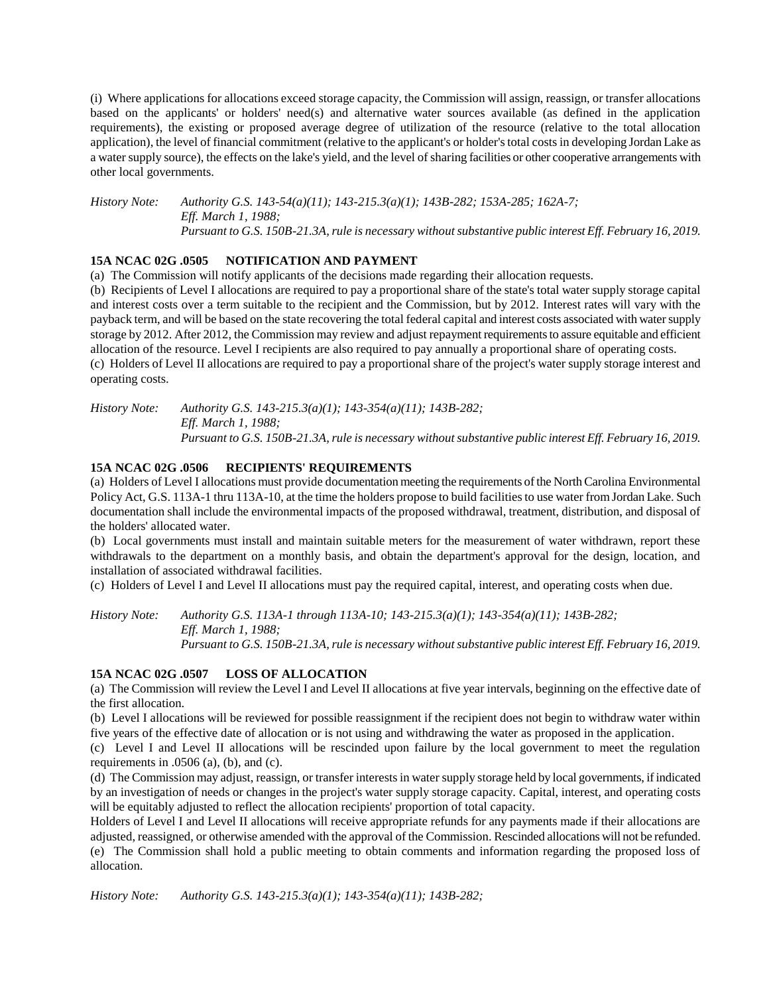(i) Where applications for allocations exceed storage capacity, the Commission will assign, reassign, or transfer allocations based on the applicants' or holders' need(s) and alternative water sources available (as defined in the application requirements), the existing or proposed average degree of utilization of the resource (relative to the total allocation application), the level of financial commitment (relative to the applicant's or holder's total costs in developing Jordan Lake as a water supply source), the effects on the lake's yield, and the level of sharing facilities or other cooperative arrangements with other local governments.

*History Note: Authority G.S. 143-54(a)(11); 143-215.3(a)(1); 143B-282; 153A-285; 162A-7; Eff. March 1, 1988; Pursuant to G.S. 150B-21.3A, rule is necessary without substantive public interest Eff. February 16, 2019.*

## **15A NCAC 02G .0505 NOTIFICATION AND PAYMENT**

(a) The Commission will notify applicants of the decisions made regarding their allocation requests.

(b) Recipients of Level I allocations are required to pay a proportional share of the state's total water supply storage capital and interest costs over a term suitable to the recipient and the Commission, but by 2012. Interest rates will vary with the payback term, and will be based on the state recovering the total federal capital and interest costs associated with water supply storage by 2012. After 2012, the Commission may review and adjust repayment requirements to assure equitable and efficient allocation of the resource. Level I recipients are also required to pay annually a proportional share of operating costs. (c) Holders of Level II allocations are required to pay a proportional share of the project's water supply storage interest and operating costs.

*History Note: Authority G.S. 143-215.3(a)(1); 143-354(a)(11); 143B-282; Eff. March 1, 1988; Pursuant to G.S. 150B-21.3A, rule is necessary without substantive public interest Eff. February 16, 2019.*

## **15A NCAC 02G .0506 RECIPIENTS' REQUIREMENTS**

(a) Holders of Level I allocations must provide documentation meeting the requirements of the North Carolina Environmental Policy Act, G.S. 113A-1 thru 113A-10, at the time the holders propose to build facilities to use water from Jordan Lake. Such documentation shall include the environmental impacts of the proposed withdrawal, treatment, distribution, and disposal of the holders' allocated water.

(b) Local governments must install and maintain suitable meters for the measurement of water withdrawn, report these withdrawals to the department on a monthly basis, and obtain the department's approval for the design, location, and installation of associated withdrawal facilities.

(c) Holders of Level I and Level II allocations must pay the required capital, interest, and operating costs when due.

*History Note: Authority G.S. 113A-1 through 113A-10; 143-215.3(a)(1); 143-354(a)(11); 143B-282; Eff. March 1, 1988; Pursuant to G.S. 150B-21.3A, rule is necessary without substantive public interest Eff. February 16, 2019.*

## **15A NCAC 02G .0507 LOSS OF ALLOCATION**

(a) The Commission will review the Level I and Level II allocations at five year intervals, beginning on the effective date of the first allocation.

(b) Level I allocations will be reviewed for possible reassignment if the recipient does not begin to withdraw water within five years of the effective date of allocation or is not using and withdrawing the water as proposed in the application.

(c) Level I and Level II allocations will be rescinded upon failure by the local government to meet the regulation requirements in  $.0506$  (a), (b), and (c).

(d) The Commission may adjust, reassign, or transfer interests in water supply storage held by local governments, if indicated by an investigation of needs or changes in the project's water supply storage capacity. Capital, interest, and operating costs will be equitably adjusted to reflect the allocation recipients' proportion of total capacity.

Holders of Level I and Level II allocations will receive appropriate refunds for any payments made if their allocations are adjusted, reassigned, or otherwise amended with the approval of the Commission. Rescinded allocations will not be refunded. (e) The Commission shall hold a public meeting to obtain comments and information regarding the proposed loss of allocation.

*History Note: Authority G.S. 143-215.3(a)(1); 143-354(a)(11); 143B-282;*